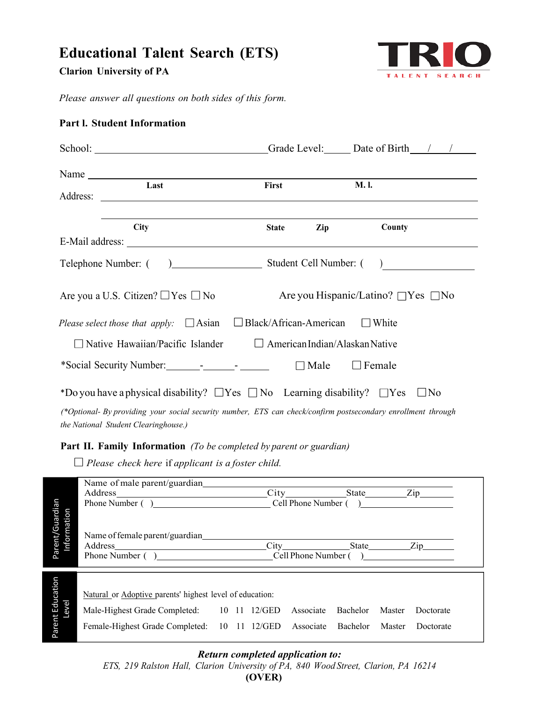# **Educational Talent Search (ETS)**

**Clarion University of PA**



 *Please answer all questions on both sides of this form.*

|  | <b>Part I. Student Information</b> |
|--|------------------------------------|
|  |                                    |

| School: Grade Level: Date of Birth / /                                                                       |              |                              |  |  |  |
|--------------------------------------------------------------------------------------------------------------|--------------|------------------------------|--|--|--|
| Name<br>Last                                                                                                 | First        | <b>M.I.</b>                  |  |  |  |
|                                                                                                              |              |                              |  |  |  |
| <b>City</b>                                                                                                  | <b>State</b> | Zip<br>County                |  |  |  |
|                                                                                                              |              |                              |  |  |  |
|                                                                                                              |              |                              |  |  |  |
| Are you a U.S. Citizen? $\Box$ Yes $\Box$ No<br>Are you Hispanic/Latino? $\Box$ Yes $\Box$ No                |              |                              |  |  |  |
| Please select those that apply: $\Box$ Asian $\Box$ Black/African-American<br>$\Box$ White                   |              |                              |  |  |  |
| Native Hawaiian/Pacific Islander $\Box$ American Indian/Alaskan Native                                       |              |                              |  |  |  |
|                                                                                                              |              | $\Box$ Male<br>$\Box$ Female |  |  |  |
| *Do you have a physical disability? $\Box$ Yes $\Box$ No Learning disability? $\Box$ Yes<br>$\Box$ No        |              |                              |  |  |  |
| (*Optional- By providing your social security number, ETS can check/confirm postsecondary enrollment through |              |                              |  |  |  |

*the National Student Clearinghouse.)*

## **Part II. Family Information** *(To be completed by parent or guardian)*

 *Please check here* if *applicant is a foster child.* 

|                                | Name of male parent/guardian_                                                                                                   |  |                      |       |                                                                                                                  |                 |  |           |
|--------------------------------|---------------------------------------------------------------------------------------------------------------------------------|--|----------------------|-------|------------------------------------------------------------------------------------------------------------------|-----------------|--|-----------|
|                                | Address<br><u> 1980 - Jan Stein Stein Stein Stein Stein Stein Stein Stein Stein Stein Stein Stein Stein Stein Stein Stein S</u> |  |                      |       | City in the City of the City of the City of the City of the City of the City of the City of the City of the City |                 |  | State Zip |
|                                | Phone Number ()                                                                                                                 |  | Cell Phone Number () |       |                                                                                                                  |                 |  |           |
| Parent/Guardian<br>Information | Name of female parent/guardian<br>Address<br>Cell Phone Number ()<br>Phone Number ()                                            |  |                      | State | $\chi$ ip                                                                                                        |                 |  |           |
|                                |                                                                                                                                 |  |                      |       |                                                                                                                  |                 |  |           |
|                                |                                                                                                                                 |  |                      |       |                                                                                                                  |                 |  |           |
|                                | Natural or Adoptive parents' highest level of education:                                                                        |  |                      |       |                                                                                                                  |                 |  |           |
|                                | Male-Highest Grade Completed: 10 11 12/GED                                                                                      |  |                      |       | Associate                                                                                                        | Bachelor Master |  | Doctorate |
| Parent Education<br>Level      | Female-Highest Grade Completed: 10 11 12/GED                                                                                    |  |                      |       | Associate                                                                                                        | Bachelor Master |  | Doctorate |

## *Return completed application to:*

*ETS, 219 Ralston Hall, Clarion University of PA, 840 Wood Street, Clarion, PA 16214* **(OVER)**